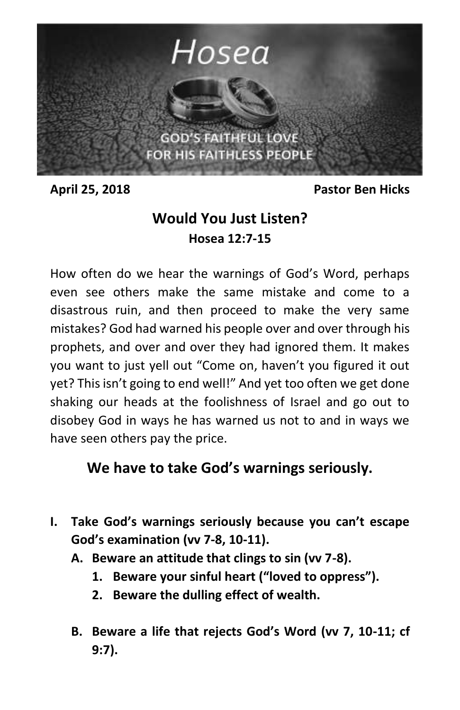

**April 25, 2018 Pastor Ben Hicks**

## **Would You Just Listen? Hosea 12:7-15**

How often do we hear the warnings of God's Word, perhaps even see others make the same mistake and come to a disastrous ruin, and then proceed to make the very same mistakes? God had warned his people over and over through his prophets, and over and over they had ignored them. It makes you want to just yell out "Come on, haven't you figured it out yet? This isn't going to end well!" And yet too often we get done shaking our heads at the foolishness of Israel and go out to disobey God in ways he has warned us not to and in ways we have seen others pay the price.

## **We have to take God's warnings seriously.**

- **I. Take God's warnings seriously because you can't escape God's examination (vv 7-8, 10-11).**
	- **A. Beware an attitude that clings to sin (vv 7-8).**
		- **1. Beware your sinful heart ("loved to oppress").**
		- **2. Beware the dulling effect of wealth.**
	- **B. Beware a life that rejects God's Word (vv 7, 10-11; cf 9:7).**